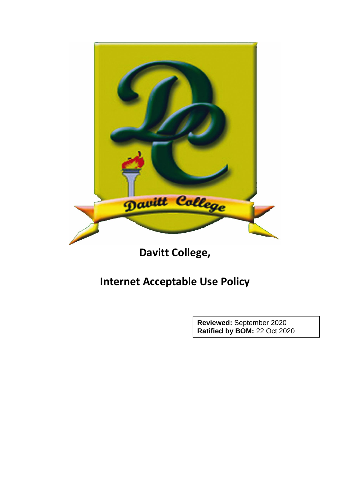

#### **Davitt College,**

#### **Internet Acceptable Use Policy**

**Reviewed:** September 2020 **Ratified by BOM:** 22 Oct 2020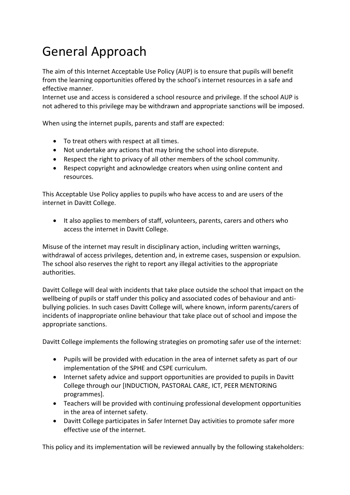## General Approach

The aim of this Internet Acceptable Use Policy (AUP) is to ensure that pupils will benefit from the learning opportunities offered by the school's internet resources in a safe and effective manner.

Internet use and access is considered a school resource and privilege. If the school AUP is not adhered to this privilege may be withdrawn and appropriate sanctions will be imposed.

When using the internet pupils, parents and staff are expected:

- To treat others with respect at all times.
- Not undertake any actions that may bring the school into disrepute.
- Respect the right to privacy of all other members of the school community.
- Respect copyright and acknowledge creators when using online content and resources.

This Acceptable Use Policy applies to pupils who have access to and are users of the internet in Davitt College.

 It also applies to members of staff, volunteers, parents, carers and others who access the internet in Davitt College.

Misuse of the internet may result in disciplinary action, including written warnings, withdrawal of access privileges, detention and, in extreme cases, suspension or expulsion. The school also reserves the right to report any illegal activities to the appropriate authorities.

Davitt College will deal with incidents that take place outside the school that impact on the wellbeing of pupils or staff under this policy and associated codes of behaviour and antibullying policies. In such cases Davitt College will, where known, inform parents/carers of incidents of inappropriate online behaviour that take place out of school and impose the appropriate sanctions.

Davitt College implements the following strategies on promoting safer use of the internet:

- Pupils will be provided with education in the area of internet safety as part of our implementation of the SPHE and CSPE curriculum.
- Internet safety advice and support opportunities are provided to pupils in Davitt College through our [INDUCTION, PASTORAL CARE, ICT, PEER MENTORING programmes].
- Teachers will be provided with continuing professional development opportunities in the area of internet safety.
- Davitt College participates in Safer Internet Day activities to promote safer more effective use of the internet.

This policy and its implementation will be reviewed annually by the following stakeholders: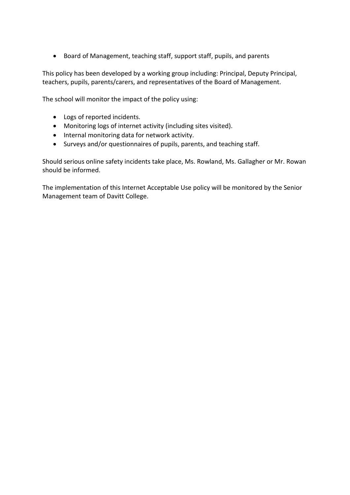Board of Management, teaching staff, support staff, pupils, and parents

This policy has been developed by a working group including: Principal, Deputy Principal, teachers, pupils, parents/carers, and representatives of the Board of Management.

The school will monitor the impact of the policy using:

- Logs of reported incidents.
- Monitoring logs of internet activity (including sites visited).
- Internal monitoring data for network activity.
- Surveys and/or questionnaires of pupils, parents, and teaching staff.

Should serious online safety incidents take place, Ms. Rowland, Ms. Gallagher or Mr. Rowan should be informed.

The implementation of this Internet Acceptable Use policy will be monitored by the Senior Management team of Davitt College.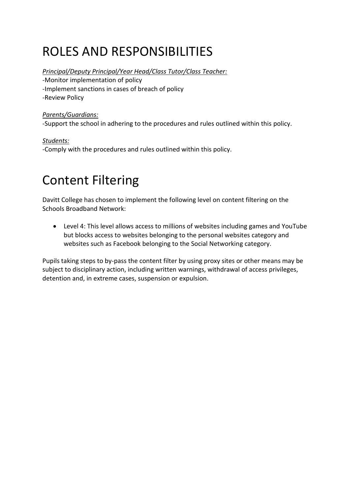### ROLES AND RESPONSIBILITIES

*Principal/Deputy Principal/Year Head/Class Tutor/Class Teacher:*

-Monitor implementation of policy

-Implement sanctions in cases of breach of policy

-Review Policy

#### *Parents/Guardians:*

-Support the school in adhering to the procedures and rules outlined within this policy.

*Students:* -Comply with the procedures and rules outlined within this policy.

### Content Filtering

Davitt College has chosen to implement the following level on content filtering on the Schools Broadband Network:

 Level 4: This level allows access to millions of websites including games and YouTube but blocks access to websites belonging to the personal websites category and websites such as Facebook belonging to the Social Networking category.

Pupils taking steps to by-pass the content filter by using proxy sites or other means may be subject to disciplinary action, including written warnings, withdrawal of access privileges, detention and, in extreme cases, suspension or expulsion.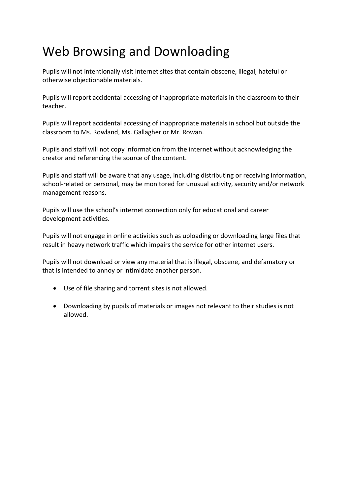#### Web Browsing and Downloading

Pupils will not intentionally visit internet sites that contain obscene, illegal, hateful or otherwise objectionable materials.

Pupils will report accidental accessing of inappropriate materials in the classroom to their teacher.

Pupils will report accidental accessing of inappropriate materials in school but outside the classroom to Ms. Rowland, Ms. Gallagher or Mr. Rowan.

Pupils and staff will not copy information from the internet without acknowledging the creator and referencing the source of the content.

Pupils and staff will be aware that any usage, including distributing or receiving information, school-related or personal, may be monitored for unusual activity, security and/or network management reasons.

Pupils will use the school's internet connection only for educational and career development activities.

Pupils will not engage in online activities such as uploading or downloading large files that result in heavy network traffic which impairs the service for other internet users.

Pupils will not download or view any material that is illegal, obscene, and defamatory or that is intended to annoy or intimidate another person.

- Use of file sharing and torrent sites is not allowed.
- Downloading by pupils of materials or images not relevant to their studies is not allowed.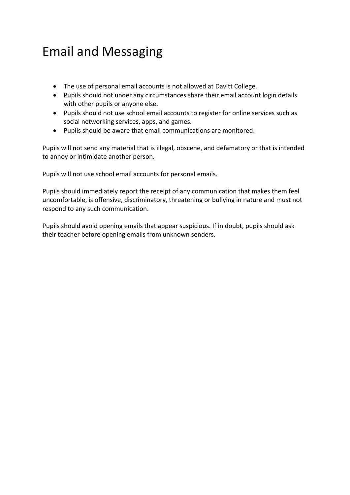#### Email and Messaging

- The use of personal email accounts is not allowed at Davitt College.
- Pupils should not under any circumstances share their email account login details with other pupils or anyone else.
- Pupils should not use school email accounts to register for online services such as social networking services, apps, and games.
- Pupils should be aware that email communications are monitored.

Pupils will not send any material that is illegal, obscene, and defamatory or that is intended to annoy or intimidate another person.

Pupils will not use school email accounts for personal emails.

Pupils should immediately report the receipt of any communication that makes them feel uncomfortable, is offensive, discriminatory, threatening or bullying in nature and must not respond to any such communication.

Pupils should avoid opening emails that appear suspicious. If in doubt, pupils should ask their teacher before opening emails from unknown senders.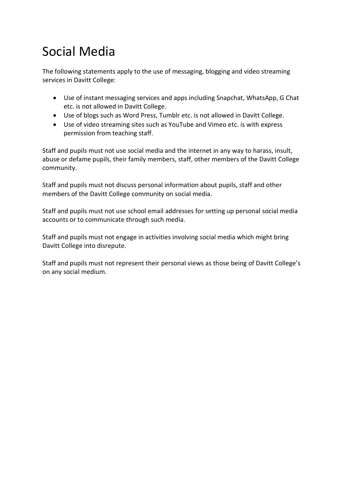## Social Media

The following statements apply to the use of messaging, blogging and video streaming services in Davitt College:

- Use of instant messaging services and apps including Snapchat, WhatsApp, G Chat etc. is not allowed in Davitt College.
- Use of blogs such as Word Press, Tumblr etc. is not allowed in Davitt College.
- Use of video streaming sites such as YouTube and Vimeo etc. is with express permission from teaching staff.

Staff and pupils must not use social media and the internet in any way to harass, insult, abuse or defame pupils, their family members, staff, other members of the Davitt College community.

Staff and pupils must not discuss personal information about pupils, staff and other members of the Davitt College community on social media.

Staff and pupils must not use school email addresses for setting up personal social media accounts or to communicate through such media.

Staff and pupils must not engage in activities involving social media which might bring Davitt College into disrepute.

Staff and pupils must not represent their personal views as those being of Davitt College's on any social medium.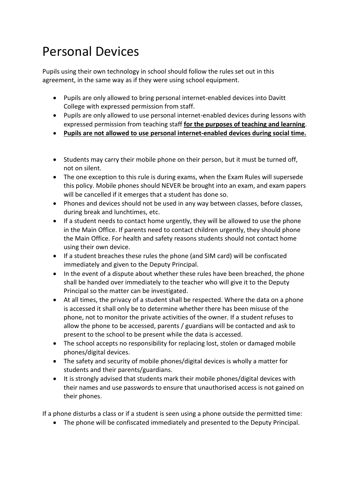### Personal Devices

Pupils using their own technology in school should follow the rules set out in this agreement, in the same way as if they were using school equipment.

- Pupils are only allowed to bring personal internet-enabled devices into Davitt College with expressed permission from staff.
- Pupils are only allowed to use personal internet-enabled devices during lessons with expressed permission from teaching staff **for the purposes of teaching and learning**.
- **Pupils are not allowed to use personal internet-enabled devices during social time.**
- Students may carry their mobile phone on their person, but it must be turned off, not on silent.
- The one exception to this rule is during exams, when the Exam Rules will supersede this policy. Mobile phones should NEVER be brought into an exam, and exam papers will be cancelled if it emerges that a student has done so.
- Phones and devices should not be used in any way between classes, before classes, during break and lunchtimes, etc.
- If a student needs to contact home urgently, they will be allowed to use the phone in the Main Office. If parents need to contact children urgently, they should phone the Main Office. For health and safety reasons students should not contact home using their own device.
- If a student breaches these rules the phone (and SIM card) will be confiscated immediately and given to the Deputy Principal.
- In the event of a dispute about whether these rules have been breached, the phone shall be handed over immediately to the teacher who will give it to the Deputy Principal so the matter can be investigated.
- At all times, the privacy of a student shall be respected. Where the data on a phone is accessed it shall only be to determine whether there has been misuse of the phone, not to monitor the private activities of the owner. If a student refuses to allow the phone to be accessed, parents / guardians will be contacted and ask to present to the school to be present while the data is accessed.
- The school accepts no responsibility for replacing lost, stolen or damaged mobile phones/digital devices.
- The safety and security of mobile phones/digital devices is wholly a matter for students and their parents/guardians.
- It is strongly advised that students mark their mobile phones/digital devices with their names and use passwords to ensure that unauthorised access is not gained on their phones.

If a phone disturbs a class or if a student is seen using a phone outside the permitted time:

The phone will be confiscated immediately and presented to the Deputy Principal.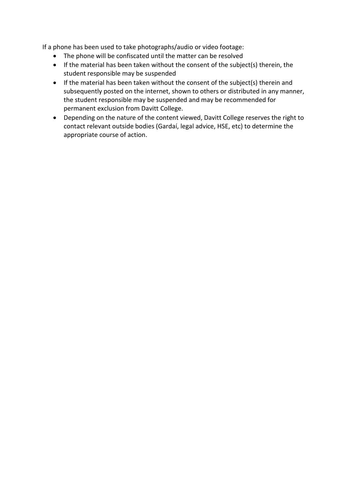If a phone has been used to take photographs/audio or video footage:

- The phone will be confiscated until the matter can be resolved
- If the material has been taken without the consent of the subject(s) therein, the student responsible may be suspended
- If the material has been taken without the consent of the subject(s) therein and subsequently posted on the internet, shown to others or distributed in any manner, the student responsible may be suspended and may be recommended for permanent exclusion from Davitt College.
- Depending on the nature of the content viewed, Davitt College reserves the right to contact relevant outside bodies (Gardaí, legal advice, HSE, etc) to determine the appropriate course of action.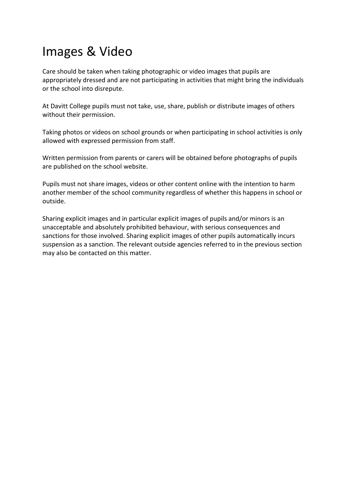#### Images & Video

Care should be taken when taking photographic or video images that pupils are appropriately dressed and are not participating in activities that might bring the individuals or the school into disrepute.

At Davitt College pupils must not take, use, share, publish or distribute images of others without their permission.

Taking photos or videos on school grounds or when participating in school activities is only allowed with expressed permission from staff.

Written permission from parents or carers will be obtained before photographs of pupils are published on the school website.

Pupils must not share images, videos or other content online with the intention to harm another member of the school community regardless of whether this happens in school or outside.

Sharing explicit images and in particular explicit images of pupils and/or minors is an unacceptable and absolutely prohibited behaviour, with serious consequences and sanctions for those involved. Sharing explicit images of other pupils automatically incurs suspension as a sanction. The relevant outside agencies referred to in the previous section may also be contacted on this matter.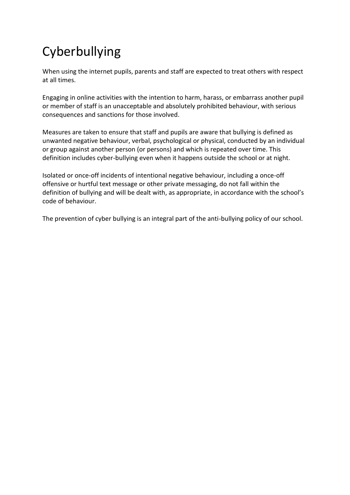# Cyberbullying

When using the internet pupils, parents and staff are expected to treat others with respect at all times.

Engaging in online activities with the intention to harm, harass, or embarrass another pupil or member of staff is an unacceptable and absolutely prohibited behaviour, with serious consequences and sanctions for those involved.

Measures are taken to ensure that staff and pupils are aware that bullying is defined as unwanted negative behaviour, verbal, psychological or physical, conducted by an individual or group against another person (or persons) and which is repeated over time. This definition includes cyber-bullying even when it happens outside the school or at night.

Isolated or once-off incidents of intentional negative behaviour, including a once-off offensive or hurtful text message or other private messaging, do not fall within the definition of bullying and will be dealt with, as appropriate, in accordance with the school's code of behaviour.

The prevention of cyber bullying is an integral part of the anti-bullying policy of our school.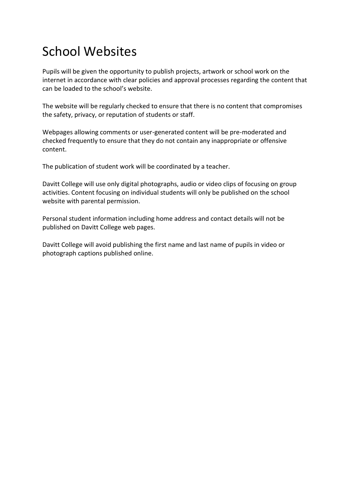## School Websites

Pupils will be given the opportunity to publish projects, artwork or school work on the internet in accordance with clear policies and approval processes regarding the content that can be loaded to the school's website.

The website will be regularly checked to ensure that there is no content that compromises the safety, privacy, or reputation of students or staff.

Webpages allowing comments or user-generated content will be pre-moderated and checked frequently to ensure that they do not contain any inappropriate or offensive content.

The publication of student work will be coordinated by a teacher.

Davitt College will use only digital photographs, audio or video clips of focusing on group activities. Content focusing on individual students will only be published on the school website with parental permission.

Personal student information including home address and contact details will not be published on Davitt College web pages.

Davitt College will avoid publishing the first name and last name of pupils in video or photograph captions published online.